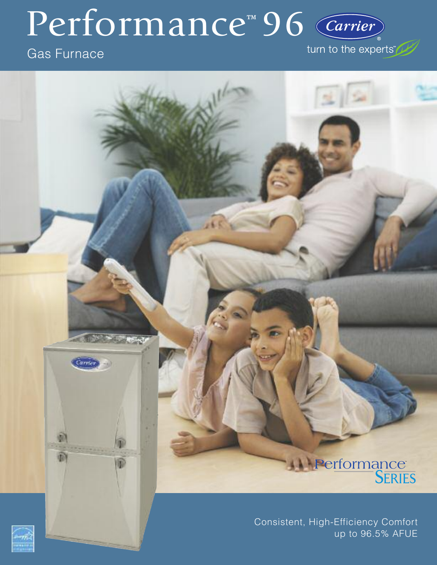# Performance<sup>™</sup>96 Carrier

# Gas Furnace

turn to the experts De



# **Performance**

Consistent, High-Efficiency Comfort up to 96.5% AFUE

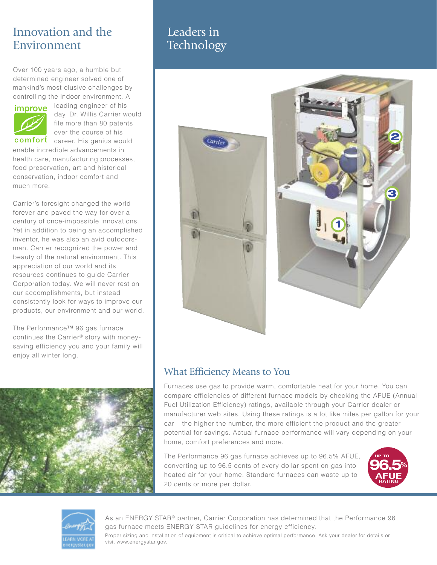# Innovation and the Environment

Over 100 years ago, a humble but determined engineer solved one of mankind's most elusive challenges by controlling the indoor environment. A



leading engineer of his day, Dr. Willis Carrier would file more than 80 patents over the course of his

comfort career. His genius would enable incredible advancements in health care, manufacturing processes, food preservation, art and historical conservation, indoor comfort and much more.

Carrier's foresight changed the world forever and paved the way for over a century of once-impossible innovations. Yet in addition to being an accomplished inventor, he was also an avid outdoorsman. Carrier recognized the power and beauty of the natural environment. This appreciation of our world and its resources continues to guide Carrier Corporation today. We will never rest on our accomplishments, but instead consistently look for ways to improve our products, our environment and our world.

The Performance™ 96 gas furnace continues the Carrier® story with moneysaving efficiency you and your family will enjoy all winter long.



# Leaders in **Technology**





### What Efficiency Means to You

Furnaces use gas to provide warm, comfortable heat for your home. You can compare efficiencies of different furnace models by checking the AFUE (Annual Fuel Utilization Efficiency) ratings, available through your Carrier dealer or manufacturer web sites. Using these ratings is a lot like miles per gallon for your car – the higher the number, the more efficient the product and the greater potential for savings. Actual furnace performance will vary depending on your home, comfort preferences and more.

The Performance 96 gas furnace achieves up to 96.5% AFUE, converting up to 96.5 cents of every dollar spent on gas into heated air for your home. Standard furnaces can waste up to 20 cents or more per dollar.





As an ENERGY STAR® partner, Carrier Corporation has determined that the Performance 96 gas furnace meets ENERGY STAR guidelines for energy efficiency.

Proper sizing and installation of equipment is critical to achieve optimal performance. Ask your dealer for details or visit www.energystar.gov.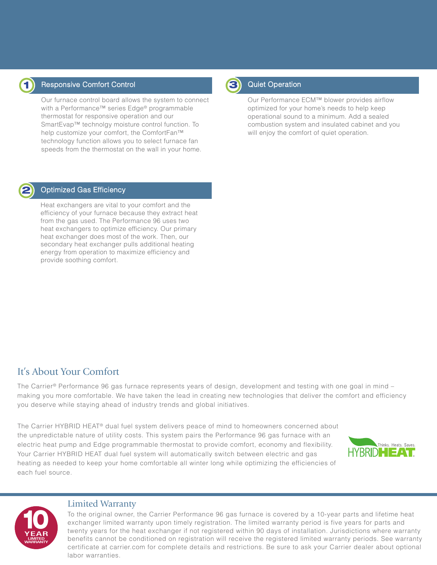

**2**

### Responsive Comfort Control **1** Quiet Operation

Our furnace control board allows the system to connect with a Performance™ series Edge® programmable thermostat for responsive operation and our SmartEvap™ technolgy moisture control function. To help customize your comfort, the ComfortFan™ technology function allows you to select furnace fan speeds from the thermostat on the wall in your home.



Our Performance ECM™ blower provides airflow optimized for your home's needs to help keep operational sound to a minimum. Add a sealed combustion system and insulated cabinet and you will enjoy the comfort of quiet operation.

#### Optimized Gas Efficiency

Heat exchangers are vital to your comfort and the efficiency of your furnace because they extract heat from the gas used. The Performance 96 uses two heat exchangers to optimize efficiency. Our primary heat exchanger does most of the work. Then, our secondary heat exchanger pulls additional heating energy from operation to maximize efficiency and provide soothing comfort.

## It's About Your Comfort

The Carrier® Performance 96 gas furnace represents years of design, development and testing with one goal in mind – making you more comfortable. We have taken the lead in creating new technologies that deliver the comfort and efficiency you deserve while staying ahead of industry trends and global initiatives.

The Carrier HYBRID HEAT® dual fuel system delivers peace of mind to homeowners concerned about the unpredictable nature of utility costs. This system pairs the Performance 96 gas furnace with an electric heat pump and Edge programmable thermostat to provide comfort, economy and flexibility. Your Carrier HYBRID HEAT dual fuel system will automatically switch between electric and gas heating as needed to keep your home comfortable all winter long while optimizing the efficiencies of each fuel source.





#### Limited Warranty

To the original owner, the Carrier Performance 96 gas furnace is covered by a 10-year parts and lifetime heat exchanger limited warranty upon timely registration. The limited warranty period is five years for parts and twenty years for the heat exchanger if not registered within 90 days of installation. Jurisdictions where warranty benefits cannot be conditioned on registration will receive the registered limited warranty periods. See warranty certificate at carrier.com for complete details and restrictions. Be sure to ask your Carrier dealer about optional labor warranties.